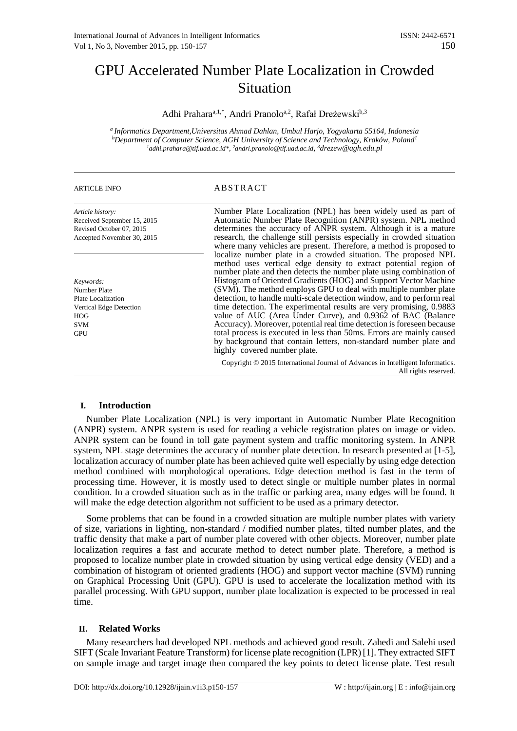# GPU Accelerated Number Plate Localization in Crowded **Situation**

Adhi Prahara<sup>a, 1,\*</sup>, Andri Pranolo<sup>a, 2</sup>, Rafał Dreżewski<sup>b, 3</sup>

*<sup>a</sup> Informatics Department,Universitas Ahmad Dahlan, Umbul Harjo, Yogyakarta 55164, Indonesia bDepartment of Computer Science, AGH University of Science and Technology, Kraków, Poland1* <sup>1</sup>adhi.prahara@tif.uad.ac.id\*, <sup>2</sup>andri.pranolo@tif.uad.ac.id, <sup>3</sup>drezew@agh.edu.pl

# ARTICLE INFO ABSTRACT

| Article history:<br>Received September 15, 2015<br>Revised October 07, 2015<br>Accepted November 30, 2015                   | Number Plate Localization (NPL) has been widely used as part of<br>Automatic Number Plate Recognition (ANPR) system. NPL method<br>determines the accuracy of ANPR system. Although it is a mature<br>research, the challenge still persists especially in crowded situation<br>where many vehicles are present. Therefore, a method is proposed to                                                                                                                                                                                                                                                                                                                                                                                                                                                                       |
|-----------------------------------------------------------------------------------------------------------------------------|---------------------------------------------------------------------------------------------------------------------------------------------------------------------------------------------------------------------------------------------------------------------------------------------------------------------------------------------------------------------------------------------------------------------------------------------------------------------------------------------------------------------------------------------------------------------------------------------------------------------------------------------------------------------------------------------------------------------------------------------------------------------------------------------------------------------------|
| Keywords:<br><b>Number Plate</b><br>Plate Localization<br>Vertical Edge Detection<br><b>HOG</b><br><b>SVM</b><br><b>GPU</b> | localize number plate in a crowded situation. The proposed NPL<br>method uses vertical edge density to extract potential region of<br>number plate and then detects the number plate using combination of<br>Histogram of Oriented Gradients (HOG) and Support Vector Machine<br>(SVM). The method employs GPU to deal with multiple number plate<br>detection, to handle multi-scale detection window, and to perform real<br>time detection. The experimental results are very promising, 0.9883<br>value of AUC (Area Under Curve), and 0.9362 of BAC (Balance<br>Accuracy). Moreover, potential real time detection is foreseen because<br>total process is executed in less than 50ms. Errors are mainly caused<br>by background that contain letters, non-standard number plate and<br>highly covered number plate. |
|                                                                                                                             | Copyright © 2015 International Journal of Advances in Intelligent Informatics.<br>All rights reserved.                                                                                                                                                                                                                                                                                                                                                                                                                                                                                                                                                                                                                                                                                                                    |

# **I. Introduction**

Number Plate Localization (NPL) is very important in Automatic Number Plate Recognition (ANPR) system. ANPR system is used for reading a vehicle registration plates on image or video. ANPR system can be found in toll gate payment system and traffic monitoring system. In ANPR system, NPL stage determines the accuracy of number plate detection. In research presented at [1-5], localization accuracy of number plate has been achieved quite well especially by using edge detection method combined with morphological operations. Edge detection method is fast in the term of processing time. However, it is mostly used to detect single or multiple number plates in normal condition. In a crowded situation such as in the traffic or parking area, many edges will be found. It will make the edge detection algorithm not sufficient to be used as a primary detector.

Some problems that can be found in a crowded situation are multiple number plates with variety of size, variations in lighting, non-standard / modified number plates, tilted number plates, and the traffic density that make a part of number plate covered with other objects. Moreover, number plate localization requires a fast and accurate method to detect number plate. Therefore, a method is proposed to localize number plate in crowded situation by using vertical edge density (VED) and a combination of histogram of oriented gradients (HOG) and support vector machine (SVM) running on Graphical Processing Unit (GPU). GPU is used to accelerate the localization method with its parallel processing. With GPU support, number plate localization is expected to be processed in real time.

# **II. Related Works**

Many researchers had developed NPL methods and achieved good result. Zahedi and Salehi used SIFT (Scale Invariant Feature Transform) for license plate recognition (LPR) [1]. They extracted SIFT on sample image and target image then compared the key points to detect license plate. Test result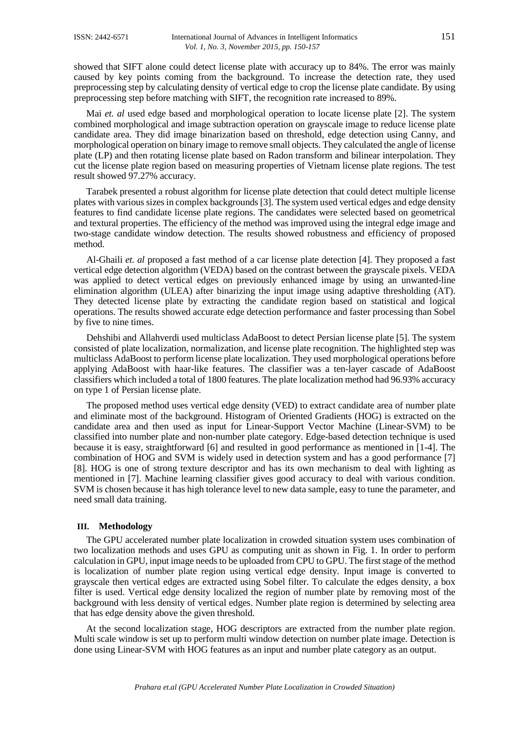showed that SIFT alone could detect license plate with accuracy up to 84%. The error was mainly caused by key points coming from the background. To increase the detection rate, they used preprocessing step by calculating density of vertical edge to crop the license plate candidate. By using preprocessing step before matching with SIFT, the recognition rate increased to 89%.

Mai *et. al* used edge based and morphological operation to locate license plate [2]. The system combined morphological and image subtraction operation on grayscale image to reduce license plate candidate area. They did image binarization based on threshold, edge detection using Canny, and morphological operation on binary image to remove small objects. They calculated the angle of license plate (LP) and then rotating license plate based on Radon transform and bilinear interpolation. They cut the license plate region based on measuring properties of Vietnam license plate regions. The test result showed 97.27% accuracy.

Tarabek presented a robust algorithm for license plate detection that could detect multiple license plates with various sizes in complex backgrounds [3]. The system used vertical edges and edge density features to find candidate license plate regions. The candidates were selected based on geometrical and textural properties. The efficiency of the method was improved using the integral edge image and two-stage candidate window detection. The results showed robustness and efficiency of proposed method.

Al-Ghaili *et. al* proposed a fast method of a car license plate detection [4]. They proposed a fast vertical edge detection algorithm (VEDA) based on the contrast between the grayscale pixels. VEDA was applied to detect vertical edges on previously enhanced image by using an unwanted-line elimination algorithm (ULEA) after binarizing the input image using adaptive thresholding (AT). They detected license plate by extracting the candidate region based on statistical and logical operations. The results showed accurate edge detection performance and faster processing than Sobel by five to nine times.

Dehshibi and Allahverdi used multiclass AdaBoost to detect Persian license plate [5]. The system consisted of plate localization, normalization, and license plate recognition. The highlighted step was multiclass AdaBoost to perform license plate localization. They used morphological operations before applying AdaBoost with haar-like features. The classifier was a ten-layer cascade of AdaBoost classifiers which included a total of 1800 features. The plate localization method had 96.93% accuracy on type 1 of Persian license plate.

The proposed method uses vertical edge density (VED) to extract candidate area of number plate and eliminate most of the background. Histogram of Oriented Gradients (HOG) is extracted on the candidate area and then used as input for Linear-Support Vector Machine (Linear-SVM) to be classified into number plate and non-number plate category. Edge-based detection technique is used because it is easy, straightforward [6] and resulted in good performance as mentioned in [1-4]. The combination of HOG and SVM is widely used in detection system and has a good performance [7] [8]. HOG is one of strong texture descriptor and has its own mechanism to deal with lighting as mentioned in [7]. Machine learning classifier gives good accuracy to deal with various condition. SVM is chosen because it has high tolerance level to new data sample, easy to tune the parameter, and need small data training.

### **III. Methodology**

The GPU accelerated number plate localization in crowded situation system uses combination of two localization methods and uses GPU as computing unit as shown in Fig. 1. In order to perform calculation in GPU, input image needs to be uploaded from CPU to GPU. The first stage of the method is localization of number plate region using vertical edge density. Input image is converted to grayscale then vertical edges are extracted using Sobel filter. To calculate the edges density, a box filter is used. Vertical edge density localized the region of number plate by removing most of the background with less density of vertical edges. Number plate region is determined by selecting area that has edge density above the given threshold.

At the second localization stage, HOG descriptors are extracted from the number plate region. Multi scale window is set up to perform multi window detection on number plate image. Detection is done using Linear-SVM with HOG features as an input and number plate category as an output.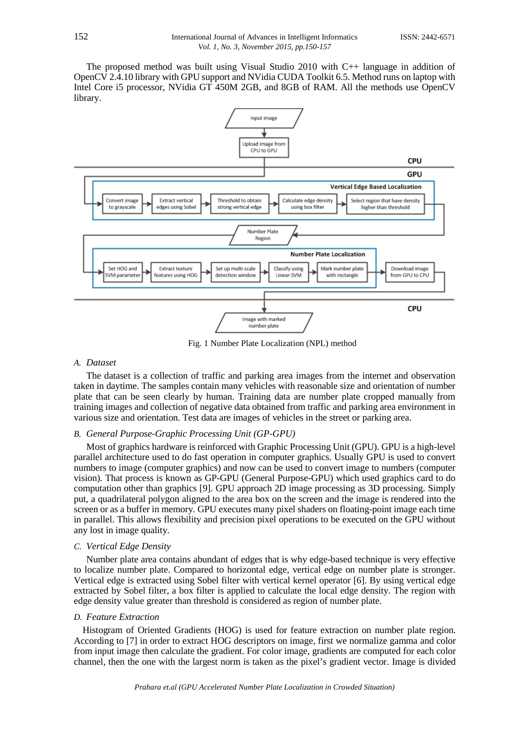The proposed method was built using Visual Studio 2010 with C++ language in addition of OpenCV 2.4.10 library with GPU support and NVidia CUDA Toolkit 6.5. Method runs on laptop with Intel Core i5 processor, NVidia GT 450M 2GB, and 8GB of RAM. All the methods use OpenCV library.



Fig. 1 Number Plate Localization (NPL) method

### *A. Dataset*

The dataset is a collection of traffic and parking area images from the internet and observation taken in daytime. The samples contain many vehicles with reasonable size and orientation of number plate that can be seen clearly by human. Training data are number plate cropped manually from training images and collection of negative data obtained from traffic and parking area environment in various size and orientation. Test data are images of vehicles in the street or parking area.

# *B. General Purpose-Graphic Processing Unit (GP-GPU)*

Most of graphics hardware is reinforced with Graphic Processing Unit (GPU). GPU is a high-level parallel architecture used to do fast operation in computer graphics. Usually GPU is used to convert numbers to image (computer graphics) and now can be used to convert image to numbers (computer vision). That process is known as GP-GPU (General Purpose-GPU) which used graphics card to do computation other than graphics [9]. GPU approach 2D image processing as 3D processing. Simply put, a quadrilateral polygon aligned to the area box on the screen and the image is rendered into the screen or as a buffer in memory. GPU executes many pixel shaders on floating-point image each time in parallel. This allows flexibility and precision pixel operations to be executed on the GPU without any lost in image quality.

#### *C. Vertical Edge Density*

Number plate area contains abundant of edges that is why edge-based technique is very effective to localize number plate. Compared to horizontal edge, vertical edge on number plate is stronger. Vertical edge is extracted using Sobel filter with vertical kernel operator [6]. By using vertical edge extracted by Sobel filter, a box filter is applied to calculate the local edge density. The region with edge density value greater than threshold is considered as region of number plate.

#### *D. Feature Extraction*

Histogram of Oriented Gradients (HOG) is used for feature extraction on number plate region. According to [7] in order to extract HOG descriptors on image, first we normalize gamma and color from input image then calculate the gradient. For color image, gradients are computed for each color channel, then the one with the largest norm is taken as the pixel's gradient vector. Image is divided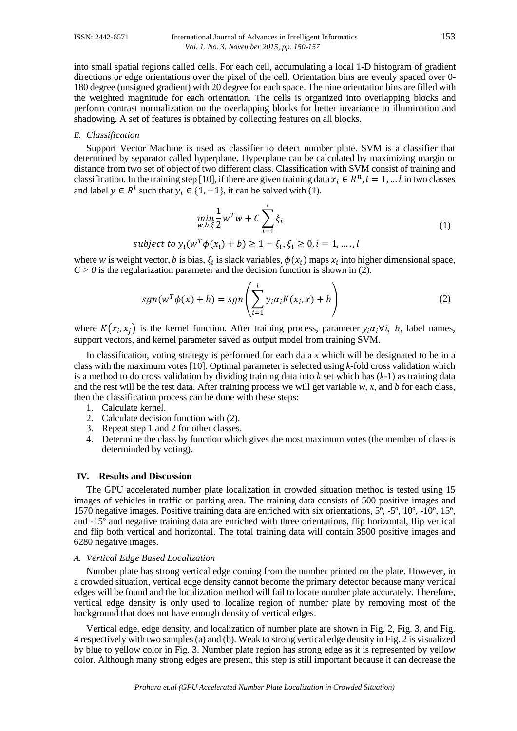#### ISSN: 2442-6571 International Journal of Advances in Intelligent Informatics 153 *Vol. 1, No. 3, November 2015, pp. 150-157*

into small spatial regions called cells. For each cell, accumulating a local 1-D histogram of gradient directions or edge orientations over the pixel of the cell. Orientation bins are evenly spaced over 0- 180 degree (unsigned gradient) with 20 degree for each space. The nine orientation bins are filled with the weighted magnitude for each orientation. The cells is organized into overlapping blocks and perform contrast normalization on the overlapping blocks for better invariance to illumination and shadowing. A set of features is obtained by collecting features on all blocks.

#### *E. Classification*

Support Vector Machine is used as classifier to detect number plate. SVM is a classifier that determined by separator called hyperplane. Hyperplane can be calculated by maximizing margin or distance from two set of object of two different class. Classification with SVM consist of training and classification. In the training step [10], if there are given training data  $x_i \in R^n$ ,  $i = 1, ... l$  in two classes and label  $y \in R^l$  such that  $y_i \in \{1, -1\}$ , it can be solved with (1).

$$
\min_{w,b,\xi} \frac{1}{2} w^T w + C \sum_{i=1}^l \xi_i
$$
\n(1)

subject to  $y_i(w^T \phi(x_i) + b) \ge 1 - \xi_i, \xi_i \ge 0, i = 1, ..., l$ 

where w is weight vector, b is bias,  $\xi_i$  is slack variables,  $\phi(x_i)$  maps  $x_i$  into higher dimensional space,  $C > 0$  is the regularization parameter and the decision function is shown in (2).

$$
sgn(w^T\phi(x) + b) = sgn\left(\sum_{i=1}^l y_i \alpha_i K(x_i, x) + b\right)
$$
 (2)

where  $K(x_i, x_j)$  is the kernel function. After training process, parameter  $y_i \alpha_i \forall i$ , b, label names, support vectors, and kernel parameter saved as output model from training SVM.

In classification, voting strategy is performed for each data *x* which will be designated to be in a class with the maximum votes [10]. Optimal parameter is selected using *k*-fold cross validation which is a method to do cross validation by dividing training data into *k* set which has (*k*-1) as training data and the rest will be the test data. After training process we will get variable *w, x*, and *b* for each class, then the classification process can be done with these steps:

- 1. Calculate kernel.
- 2. Calculate decision function with (2).
- 3. Repeat step 1 and 2 for other classes.
- 4. Determine the class by function which gives the most maximum votes (the member of class is determinded by voting).

#### **IV. Results and Discussion**

The GPU accelerated number plate localization in crowded situation method is tested using 15 images of vehicles in traffic or parking area. The training data consists of 500 positive images and 1570 negative images. Positive training data are enriched with six orientations, 5º, -5º, 10º, -10º, 15º, and -15º and negative training data are enriched with three orientations, flip horizontal, flip vertical and flip both vertical and horizontal. The total training data will contain 3500 positive images and 6280 negative images.

# *A. Vertical Edge Based Localization*

Number plate has strong vertical edge coming from the number printed on the plate. However, in a crowded situation, vertical edge density cannot become the primary detector because many vertical edges will be found and the localization method will fail to locate number plate accurately. Therefore, vertical edge density is only used to localize region of number plate by removing most of the background that does not have enough density of vertical edges.

Vertical edge, edge density, and localization of number plate are shown in Fig. 2, Fig. 3, and Fig. 4 respectively with two samples (a) and (b). Weak to strong vertical edge density in Fig. 2 is visualized by blue to yellow color in Fig. 3. Number plate region has strong edge as it is represented by yellow color. Although many strong edges are present, this step is still important because it can decrease the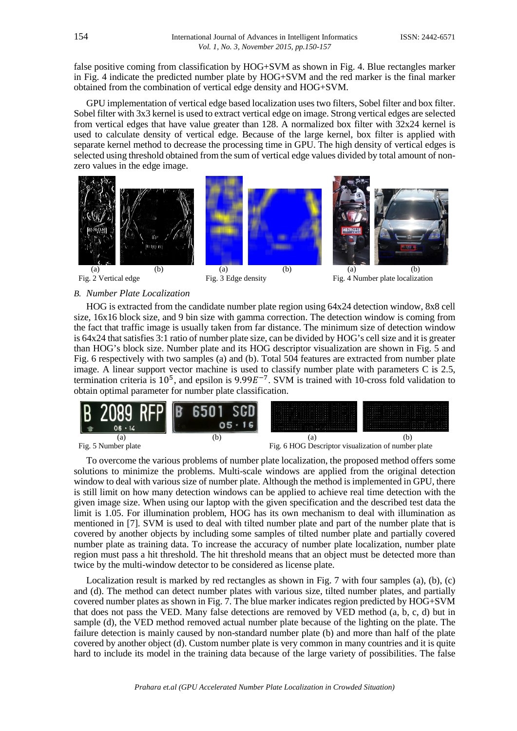false positive coming from classification by HOG+SVM as shown in Fig. 4. Blue rectangles marker in Fig. 4 indicate the predicted number plate by HOG+SVM and the red marker is the final marker obtained from the combination of vertical edge density and HOG+SVM.

GPU implementation of vertical edge based localization uses two filters, Sobel filter and box filter. Sobel filter with 3x3 kernel is used to extract vertical edge on image. Strong vertical edges are selected from vertical edges that have value greater than 128. A normalized box filter with 32x24 kernel is used to calculate density of vertical edge. Because of the large kernel, box filter is applied with separate kernel method to decrease the processing time in GPU. The high density of vertical edges is selected using threshold obtained from the sum of vertical edge values divided by total amount of nonzero values in the edge image.



# *B. Number Plate Localization*

HOG is extracted from the candidate number plate region using 64x24 detection window, 8x8 cell size, 16x16 block size, and 9 bin size with gamma correction. The detection window is coming from the fact that traffic image is usually taken from far distance. The minimum size of detection window is 64x24 that satisfies 3:1 ratio of number plate size, can be divided by HOG's cell size and it is greater than HOG's block size. Number plate and its HOG descriptor visualization are shown in Fig. 5 and Fig. 6 respectively with two samples (a) and (b). Total 504 features are extracted from number plate image. A linear support vector machine is used to classify number plate with parameters C is 2.5, termination criteria is  $10^5$ , and epsilon is 9.99 $E^{-7}$ . SVM is trained with 10-cross fold validation to obtain optimal parameter for number plate classification.





To overcome the various problems of number plate localization, the proposed method offers some solutions to minimize the problems. Multi-scale windows are applied from the original detection window to deal with various size of number plate. Although the method is implemented in GPU, there is still limit on how many detection windows can be applied to achieve real time detection with the given image size. When using our laptop with the given specification and the described test data the limit is 1.05. For illumination problem, HOG has its own mechanism to deal with illumination as mentioned in [7]. SVM is used to deal with tilted number plate and part of the number plate that is covered by another objects by including some samples of tilted number plate and partially covered number plate as training data. To increase the accuracy of number plate localization, number plate region must pass a hit threshold. The hit threshold means that an object must be detected more than twice by the multi-window detector to be considered as license plate.

Localization result is marked by red rectangles as shown in Fig. 7 with four samples (a), (b), (c) and (d). The method can detect number plates with various size, tilted number plates, and partially covered number plates as shown in Fig. 7. The blue marker indicates region predicted by HOG+SVM that does not pass the VED. Many false detections are removed by VED method (a, b, c, d) but in sample (d), the VED method removed actual number plate because of the lighting on the plate. The failure detection is mainly caused by non-standard number plate (b) and more than half of the plate covered by another object (d). Custom number plate is very common in many countries and it is quite hard to include its model in the training data because of the large variety of possibilities. The false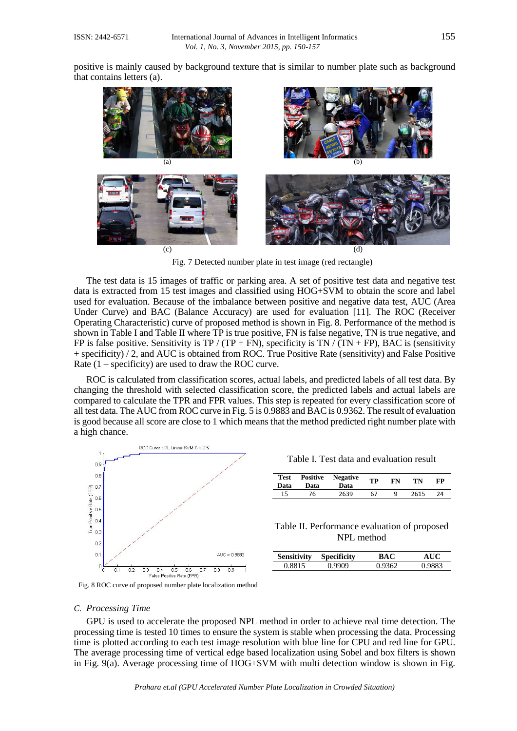positive is mainly caused by background texture that is similar to number plate such as background that contains letters (a).



Fig. 7 Detected number plate in test image (red rectangle)

The test data is 15 images of traffic or parking area. A set of positive test data and negative test data is extracted from 15 test images and classified using HOG+SVM to obtain the score and label used for evaluation. Because of the imbalance between positive and negative data test, AUC (Area Under Curve) and BAC (Balance Accuracy) are used for evaluation [11]. The ROC (Receiver Operating Characteristic) curve of proposed method is shown in Fig. 8. Performance of the method is shown in Table I and Table II where TP is true positive, FN is false negative, TN is true negative, and FP is false positive. Sensitivity is TP / (TP + FN), specificity is TN / (TN + FP), BAC is (sensitivity + specificity) / 2, and AUC is obtained from ROC. True Positive Rate (sensitivity) and False Positive Rate (1 – specificity) are used to draw the ROC curve.

ROC is calculated from classification scores, actual labels, and predicted labels of all test data. By changing the threshold with selected classification score, the predicted labels and actual labels are compared to calculate the TPR and FPR values. This step is repeated for every classification score of all test data. The AUC from ROC curve in Fig. 5 is 0.9883 and BAC is 0.9362. The result of evaluation is good because all score are close to 1 which means that the method predicted right number plate with a high chance.



| <b>Test</b><br>Data | Positive<br>Data | <b>Negative</b><br>Data | TP | FN | TN   | FP |
|---------------------|------------------|-------------------------|----|----|------|----|
| 15                  | 76               | 2639                    | 67 | a  | 2615 | 24 |

Table II. Performance evaluation of proposed NPL method

| ensitivitv  | .ecificity | 3AC | A TIC |
|-------------|------------|-----|-------|
| <b>VVIA</b> |            |     |       |

Fig. 8 ROC curve of proposed number plate localization method

#### *C. Processing Time*

GPU is used to accelerate the proposed NPL method in order to achieve real time detection. The processing time is tested 10 times to ensure the system is stable when processing the data. Processing time is plotted according to each test image resolution with blue line for CPU and red line for GPU. The average processing time of vertical edge based localization using Sobel and box filters is shown in Fig. 9(a). Average processing time of HOG+SVM with multi detection window is shown in Fig.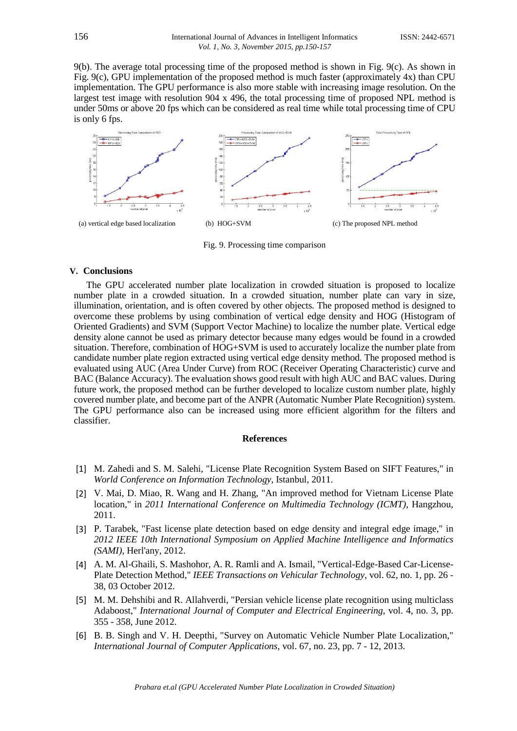9(b). The average total processing time of the proposed method is shown in Fig. 9(c). As shown in Fig. 9(c), GPU implementation of the proposed method is much faster (approximately 4x) than CPU implementation. The GPU performance is also more stable with increasing image resolution. On the largest test image with resolution 904 x 496, the total processing time of proposed NPL method is under 50ms or above 20 fps which can be considered as real time while total processing time of CPU is only 6 fps.



Fig. 9. Processing time comparison

#### **V. Conclusions**

The GPU accelerated number plate localization in crowded situation is proposed to localize number plate in a crowded situation. In a crowded situation, number plate can vary in size, illumination, orientation, and is often covered by other objects. The proposed method is designed to overcome these problems by using combination of vertical edge density and HOG (Histogram of Oriented Gradients) and SVM (Support Vector Machine) to localize the number plate. Vertical edge density alone cannot be used as primary detector because many edges would be found in a crowded situation. Therefore, combination of HOG+SVM is used to accurately localize the number plate from candidate number plate region extracted using vertical edge density method. The proposed method is evaluated using AUC (Area Under Curve) from ROC (Receiver Operating Characteristic) curve and BAC (Balance Accuracy). The evaluation shows good result with high AUC and BAC values. During future work, the proposed method can be further developed to localize custom number plate, highly covered number plate, and become part of the ANPR (Automatic Number Plate Recognition) system. The GPU performance also can be increased using more efficient algorithm for the filters and classifier.

#### **References**

- [1] M. Zahedi and S. M. Salehi, "License Plate Recognition System Based on SIFT Features," in *World Conference on Information Technology*, Istanbul, 2011.
- [2] V. Mai, D. Miao, R. Wang and H. Zhang, "An improved method for Vietnam License Plate location," in *2011 International Conference on Multimedia Technology (ICMT)*, Hangzhou, 2011.
- [3] P. Tarabek, "Fast license plate detection based on edge density and integral edge image," in *2012 IEEE 10th International Symposium on Applied Machine Intelligence and Informatics (SAMI)*, Herl'any, 2012.
- [4] A. M. Al-Ghaili, S. Mashohor, A. R. Ramli and A. Ismail, "Vertical-Edge-Based Car-License-Plate Detection Method," *IEEE Transactions on Vehicular Technology,* vol. 62, no. 1, pp. 26 - 38, 03 October 2012.
- [5] M. M. Dehshibi and R. Allahverdi, "Persian vehicle license plate recognition using multiclass Adaboost," *International Journal of Computer and Electrical Engineering,* vol. 4, no. 3, pp. 355 - 358, June 2012.
- [6] B. B. Singh and V. H. Deepthi, "Survey on Automatic Vehicle Number Plate Localization," *International Journal of Computer Applications,* vol. 67, no. 23, pp. 7 - 12, 2013.